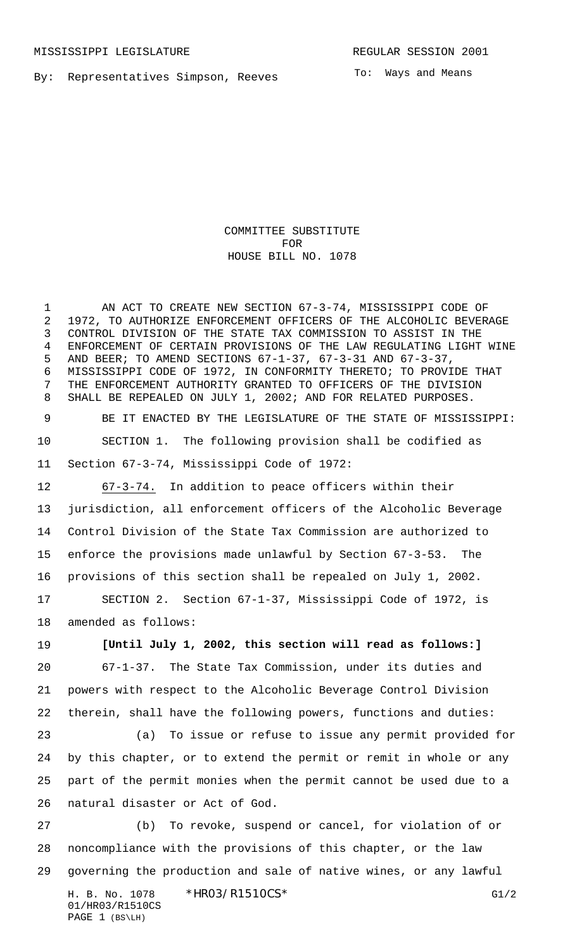By: Representatives Simpson, Reeves

To: Ways and Means

## COMMITTEE SUBSTITUTE FOR HOUSE BILL NO. 1078

 AN ACT TO CREATE NEW SECTION 67-3-74, MISSISSIPPI CODE OF 1972, TO AUTHORIZE ENFORCEMENT OFFICERS OF THE ALCOHOLIC BEVERAGE CONTROL DIVISION OF THE STATE TAX COMMISSION TO ASSIST IN THE ENFORCEMENT OF CERTAIN PROVISIONS OF THE LAW REGULATING LIGHT WINE AND BEER; TO AMEND SECTIONS 67-1-37, 67-3-31 AND 67-3-37, MISSISSIPPI CODE OF 1972, IN CONFORMITY THERETO; TO PROVIDE THAT THE ENFORCEMENT AUTHORITY GRANTED TO OFFICERS OF THE DIVISION SHALL BE REPEALED ON JULY 1, 2002; AND FOR RELATED PURPOSES.

 BE IT ENACTED BY THE LEGISLATURE OF THE STATE OF MISSISSIPPI: SECTION 1. The following provision shall be codified as Section 67-3-74, Mississippi Code of 1972:

 67-3-74. In addition to peace officers within their jurisdiction, all enforcement officers of the Alcoholic Beverage Control Division of the State Tax Commission are authorized to enforce the provisions made unlawful by Section 67-3-53. The provisions of this section shall be repealed on July 1, 2002.

 SECTION 2. Section 67-1-37, Mississippi Code of 1972, is amended as follows:

 **[Until July 1, 2002, this section will read as follows:]** 67-1-37. The State Tax Commission, under its duties and powers with respect to the Alcoholic Beverage Control Division therein, shall have the following powers, functions and duties:

 (a) To issue or refuse to issue any permit provided for by this chapter, or to extend the permit or remit in whole or any part of the permit monies when the permit cannot be used due to a natural disaster or Act of God.

 (b) To revoke, suspend or cancel, for violation of or noncompliance with the provisions of this chapter, or the law governing the production and sale of native wines, or any lawful

H. B. No. 1078 \* HRO3/R1510CS\* G1/2 01/HR03/R1510CS PAGE 1 (BS\LH)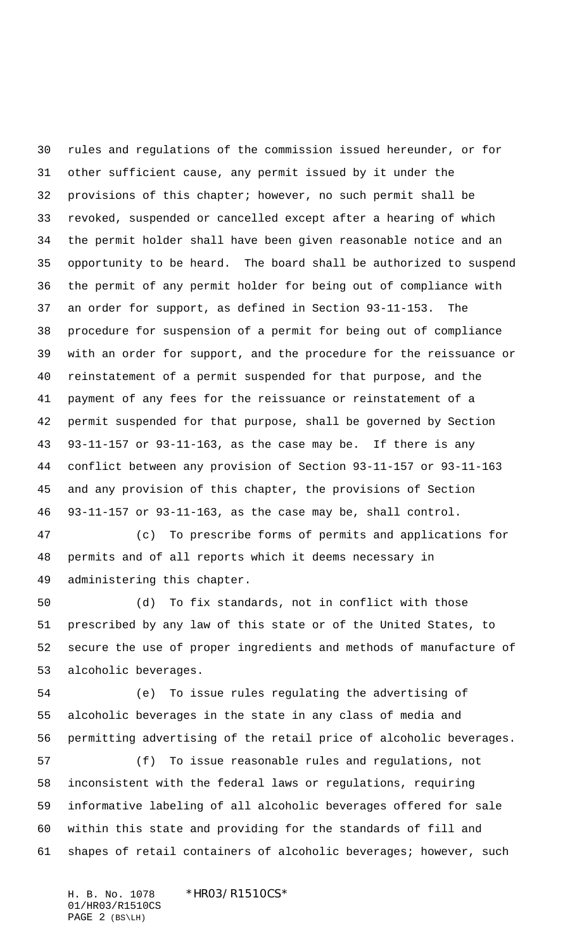rules and regulations of the commission issued hereunder, or for other sufficient cause, any permit issued by it under the provisions of this chapter; however, no such permit shall be revoked, suspended or cancelled except after a hearing of which the permit holder shall have been given reasonable notice and an opportunity to be heard. The board shall be authorized to suspend the permit of any permit holder for being out of compliance with an order for support, as defined in Section 93-11-153. The procedure for suspension of a permit for being out of compliance with an order for support, and the procedure for the reissuance or reinstatement of a permit suspended for that purpose, and the payment of any fees for the reissuance or reinstatement of a permit suspended for that purpose, shall be governed by Section 93-11-157 or 93-11-163, as the case may be. If there is any conflict between any provision of Section 93-11-157 or 93-11-163 and any provision of this chapter, the provisions of Section 93-11-157 or 93-11-163, as the case may be, shall control.

 (c) To prescribe forms of permits and applications for permits and of all reports which it deems necessary in administering this chapter.

 (d) To fix standards, not in conflict with those prescribed by any law of this state or of the United States, to secure the use of proper ingredients and methods of manufacture of alcoholic beverages.

 (e) To issue rules regulating the advertising of alcoholic beverages in the state in any class of media and permitting advertising of the retail price of alcoholic beverages.

 (f) To issue reasonable rules and regulations, not inconsistent with the federal laws or regulations, requiring informative labeling of all alcoholic beverages offered for sale within this state and providing for the standards of fill and shapes of retail containers of alcoholic beverages; however, such

H. B. No. 1078 \*HR03/R1510CS\* 01/HR03/R1510CS PAGE 2 (BS\LH)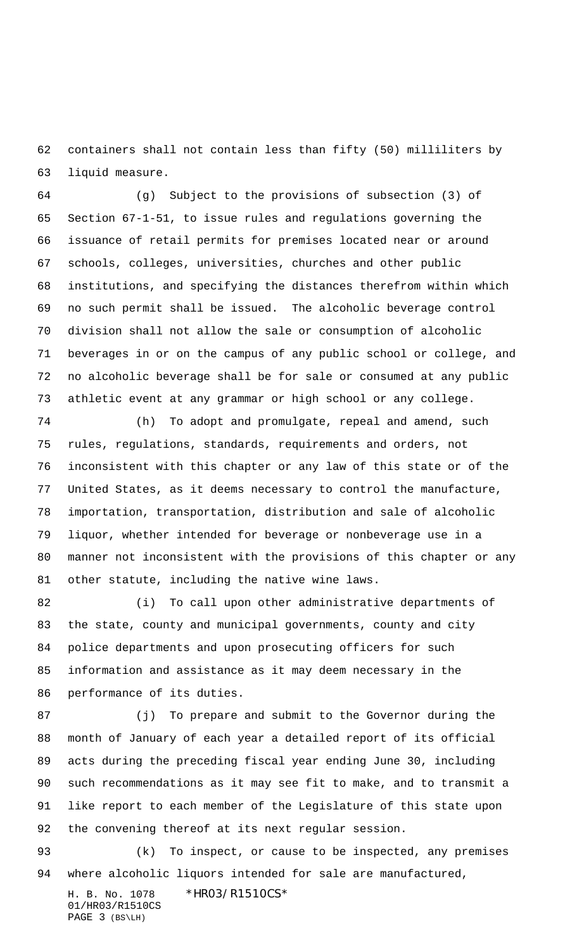containers shall not contain less than fifty (50) milliliters by liquid measure.

 (g) Subject to the provisions of subsection (3) of Section 67-1-51, to issue rules and regulations governing the issuance of retail permits for premises located near or around schools, colleges, universities, churches and other public institutions, and specifying the distances therefrom within which no such permit shall be issued. The alcoholic beverage control division shall not allow the sale or consumption of alcoholic beverages in or on the campus of any public school or college, and no alcoholic beverage shall be for sale or consumed at any public athletic event at any grammar or high school or any college.

 (h) To adopt and promulgate, repeal and amend, such rules, regulations, standards, requirements and orders, not inconsistent with this chapter or any law of this state or of the United States, as it deems necessary to control the manufacture, importation, transportation, distribution and sale of alcoholic liquor, whether intended for beverage or nonbeverage use in a manner not inconsistent with the provisions of this chapter or any other statute, including the native wine laws.

82 (i) To call upon other administrative departments of the state, county and municipal governments, county and city police departments and upon prosecuting officers for such information and assistance as it may deem necessary in the performance of its duties.

 (j) To prepare and submit to the Governor during the month of January of each year a detailed report of its official acts during the preceding fiscal year ending June 30, including such recommendations as it may see fit to make, and to transmit a like report to each member of the Legislature of this state upon the convening thereof at its next regular session.

 (k) To inspect, or cause to be inspected, any premises where alcoholic liquors intended for sale are manufactured,

H. B. No. 1078 \*HR03/R1510CS\* 01/HR03/R1510CS PAGE 3 (BS\LH)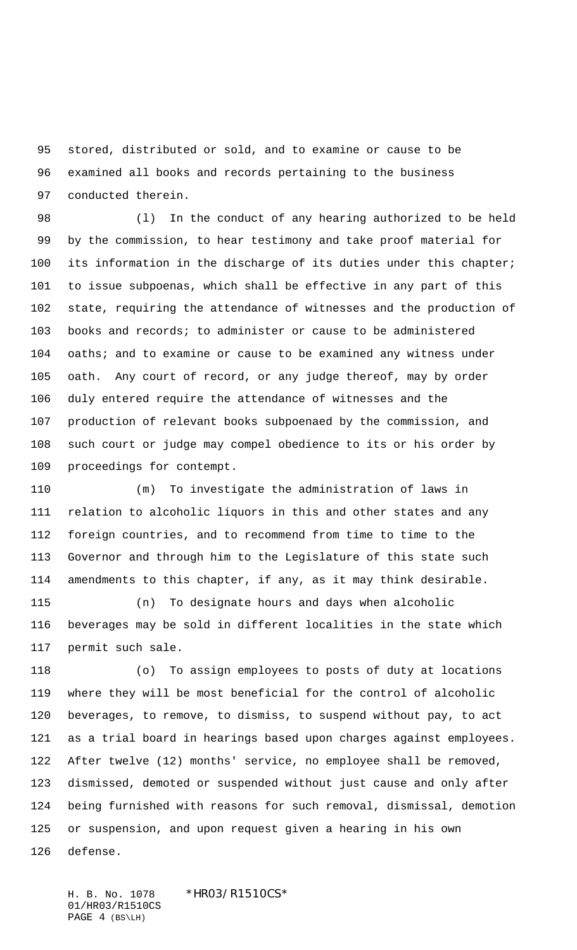stored, distributed or sold, and to examine or cause to be examined all books and records pertaining to the business conducted therein.

 (l) In the conduct of any hearing authorized to be held by the commission, to hear testimony and take proof material for 100 its information in the discharge of its duties under this chapter; to issue subpoenas, which shall be effective in any part of this state, requiring the attendance of witnesses and the production of books and records; to administer or cause to be administered 104 oaths; and to examine or cause to be examined any witness under oath. Any court of record, or any judge thereof, may by order duly entered require the attendance of witnesses and the production of relevant books subpoenaed by the commission, and such court or judge may compel obedience to its or his order by proceedings for contempt.

 (m) To investigate the administration of laws in relation to alcoholic liquors in this and other states and any foreign countries, and to recommend from time to time to the Governor and through him to the Legislature of this state such amendments to this chapter, if any, as it may think desirable.

 (n) To designate hours and days when alcoholic beverages may be sold in different localities in the state which permit such sale.

 (o) To assign employees to posts of duty at locations where they will be most beneficial for the control of alcoholic beverages, to remove, to dismiss, to suspend without pay, to act as a trial board in hearings based upon charges against employees. After twelve (12) months' service, no employee shall be removed, dismissed, demoted or suspended without just cause and only after being furnished with reasons for such removal, dismissal, demotion or suspension, and upon request given a hearing in his own defense.

H. B. No. 1078 \*HR03/R1510CS\* 01/HR03/R1510CS PAGE 4 (BS\LH)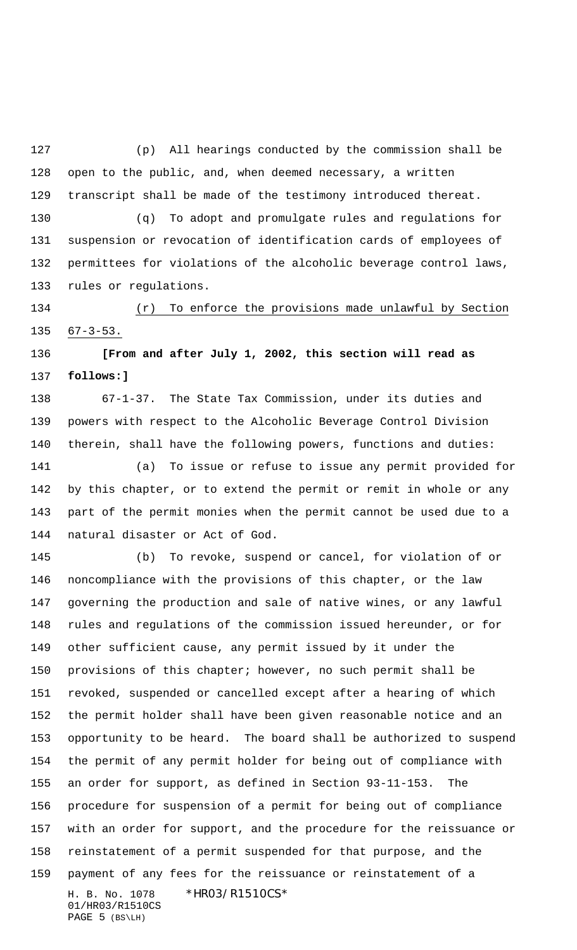(p) All hearings conducted by the commission shall be open to the public, and, when deemed necessary, a written transcript shall be made of the testimony introduced thereat.

 (q) To adopt and promulgate rules and regulations for suspension or revocation of identification cards of employees of permittees for violations of the alcoholic beverage control laws, rules or regulations.

 (r) To enforce the provisions made unlawful by Section 135  $67-3-53$ .

 **[From and after July 1, 2002, this section will read as follows:]**

 67-1-37. The State Tax Commission, under its duties and powers with respect to the Alcoholic Beverage Control Division therein, shall have the following powers, functions and duties:

 (a) To issue or refuse to issue any permit provided for by this chapter, or to extend the permit or remit in whole or any part of the permit monies when the permit cannot be used due to a natural disaster or Act of God.

H. B. No. 1078 \*HR03/R1510CS\* 01/HR03/R1510CS PAGE 5 (BS\LH) (b) To revoke, suspend or cancel, for violation of or noncompliance with the provisions of this chapter, or the law governing the production and sale of native wines, or any lawful rules and regulations of the commission issued hereunder, or for other sufficient cause, any permit issued by it under the provisions of this chapter; however, no such permit shall be revoked, suspended or cancelled except after a hearing of which the permit holder shall have been given reasonable notice and an opportunity to be heard. The board shall be authorized to suspend the permit of any permit holder for being out of compliance with an order for support, as defined in Section 93-11-153. The procedure for suspension of a permit for being out of compliance with an order for support, and the procedure for the reissuance or reinstatement of a permit suspended for that purpose, and the payment of any fees for the reissuance or reinstatement of a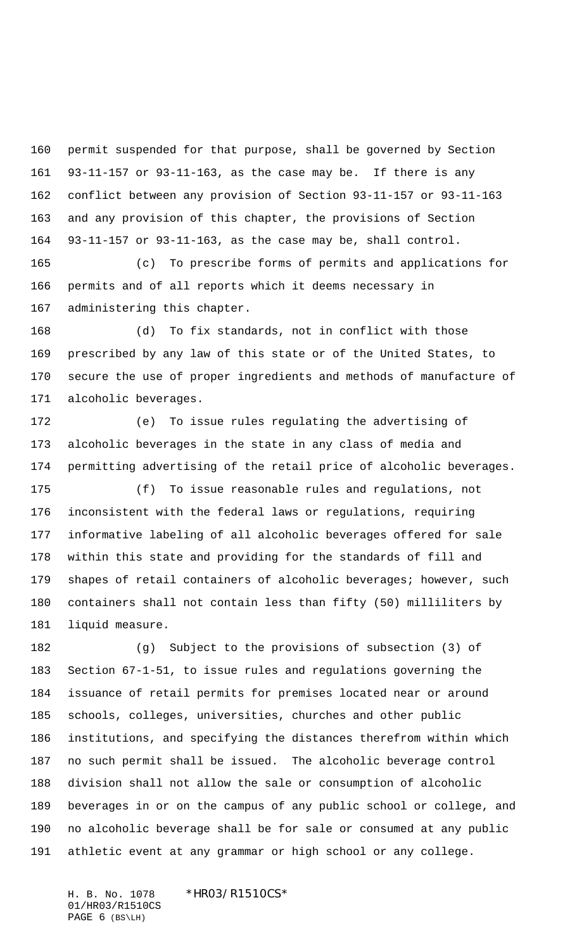permit suspended for that purpose, shall be governed by Section 93-11-157 or 93-11-163, as the case may be. If there is any conflict between any provision of Section 93-11-157 or 93-11-163 and any provision of this chapter, the provisions of Section 93-11-157 or 93-11-163, as the case may be, shall control.

 (c) To prescribe forms of permits and applications for permits and of all reports which it deems necessary in administering this chapter.

 (d) To fix standards, not in conflict with those prescribed by any law of this state or of the United States, to secure the use of proper ingredients and methods of manufacture of alcoholic beverages.

 (e) To issue rules regulating the advertising of alcoholic beverages in the state in any class of media and permitting advertising of the retail price of alcoholic beverages.

 (f) To issue reasonable rules and regulations, not inconsistent with the federal laws or regulations, requiring informative labeling of all alcoholic beverages offered for sale within this state and providing for the standards of fill and shapes of retail containers of alcoholic beverages; however, such containers shall not contain less than fifty (50) milliliters by liquid measure.

 (g) Subject to the provisions of subsection (3) of Section 67-1-51, to issue rules and regulations governing the issuance of retail permits for premises located near or around schools, colleges, universities, churches and other public institutions, and specifying the distances therefrom within which no such permit shall be issued. The alcoholic beverage control division shall not allow the sale or consumption of alcoholic beverages in or on the campus of any public school or college, and no alcoholic beverage shall be for sale or consumed at any public athletic event at any grammar or high school or any college.

H. B. No. 1078 \*HR03/R1510CS\* 01/HR03/R1510CS PAGE 6 (BS\LH)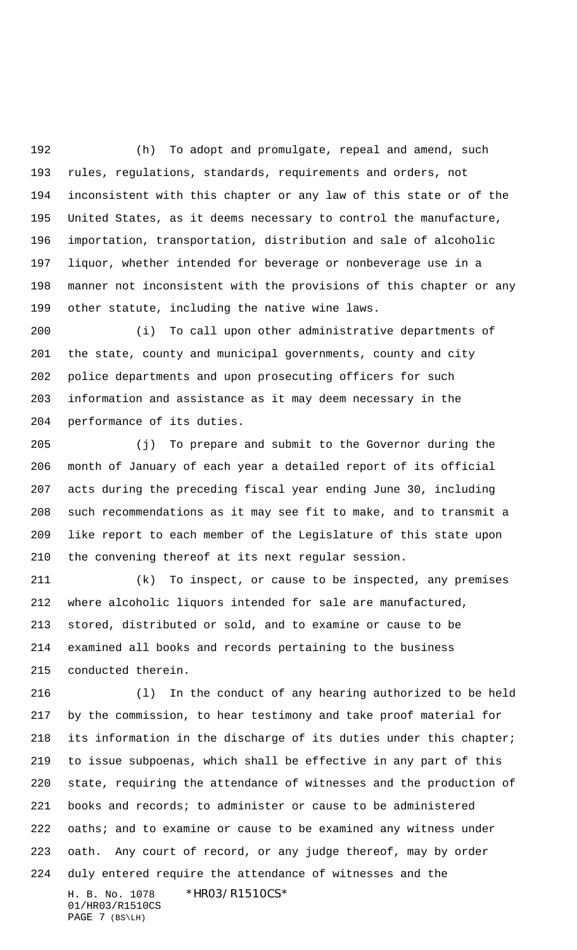(h) To adopt and promulgate, repeal and amend, such rules, regulations, standards, requirements and orders, not inconsistent with this chapter or any law of this state or of the United States, as it deems necessary to control the manufacture, importation, transportation, distribution and sale of alcoholic liquor, whether intended for beverage or nonbeverage use in a manner not inconsistent with the provisions of this chapter or any other statute, including the native wine laws.

 (i) To call upon other administrative departments of the state, county and municipal governments, county and city police departments and upon prosecuting officers for such information and assistance as it may deem necessary in the performance of its duties.

 (j) To prepare and submit to the Governor during the month of January of each year a detailed report of its official acts during the preceding fiscal year ending June 30, including such recommendations as it may see fit to make, and to transmit a like report to each member of the Legislature of this state upon the convening thereof at its next regular session.

 (k) To inspect, or cause to be inspected, any premises where alcoholic liquors intended for sale are manufactured, stored, distributed or sold, and to examine or cause to be examined all books and records pertaining to the business conducted therein.

H. B. No. 1078 \*HR03/R1510CS\* 01/HR03/R1510CS PAGE 7 (BS\LH) (l) In the conduct of any hearing authorized to be held by the commission, to hear testimony and take proof material for its information in the discharge of its duties under this chapter; to issue subpoenas, which shall be effective in any part of this state, requiring the attendance of witnesses and the production of books and records; to administer or cause to be administered 222 oaths; and to examine or cause to be examined any witness under oath. Any court of record, or any judge thereof, may by order duly entered require the attendance of witnesses and the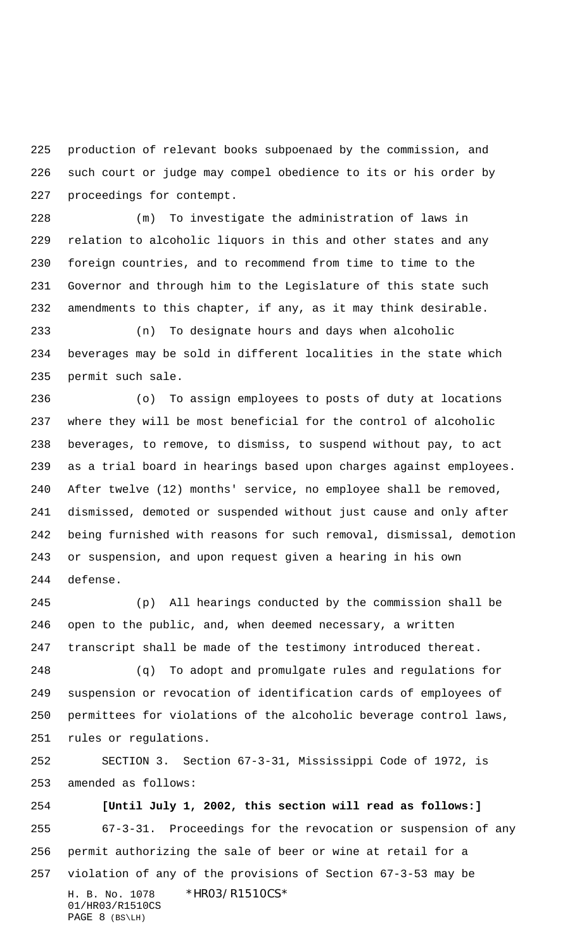production of relevant books subpoenaed by the commission, and such court or judge may compel obedience to its or his order by proceedings for contempt.

 (m) To investigate the administration of laws in relation to alcoholic liquors in this and other states and any foreign countries, and to recommend from time to time to the Governor and through him to the Legislature of this state such amendments to this chapter, if any, as it may think desirable.

 (n) To designate hours and days when alcoholic beverages may be sold in different localities in the state which permit such sale.

 (o) To assign employees to posts of duty at locations where they will be most beneficial for the control of alcoholic beverages, to remove, to dismiss, to suspend without pay, to act as a trial board in hearings based upon charges against employees. After twelve (12) months' service, no employee shall be removed, dismissed, demoted or suspended without just cause and only after being furnished with reasons for such removal, dismissal, demotion or suspension, and upon request given a hearing in his own defense.

 (p) All hearings conducted by the commission shall be open to the public, and, when deemed necessary, a written transcript shall be made of the testimony introduced thereat.

 (q) To adopt and promulgate rules and regulations for suspension or revocation of identification cards of employees of permittees for violations of the alcoholic beverage control laws, rules or regulations.

 SECTION 3. Section 67-3-31, Mississippi Code of 1972, is amended as follows:

H. B. No. 1078 \*HR03/R1510CS\* 01/HR03/R1510CS PAGE 8 (BS\LH) **[Until July 1, 2002, this section will read as follows:]** 67-3-31. Proceedings for the revocation or suspension of any permit authorizing the sale of beer or wine at retail for a violation of any of the provisions of Section 67-3-53 may be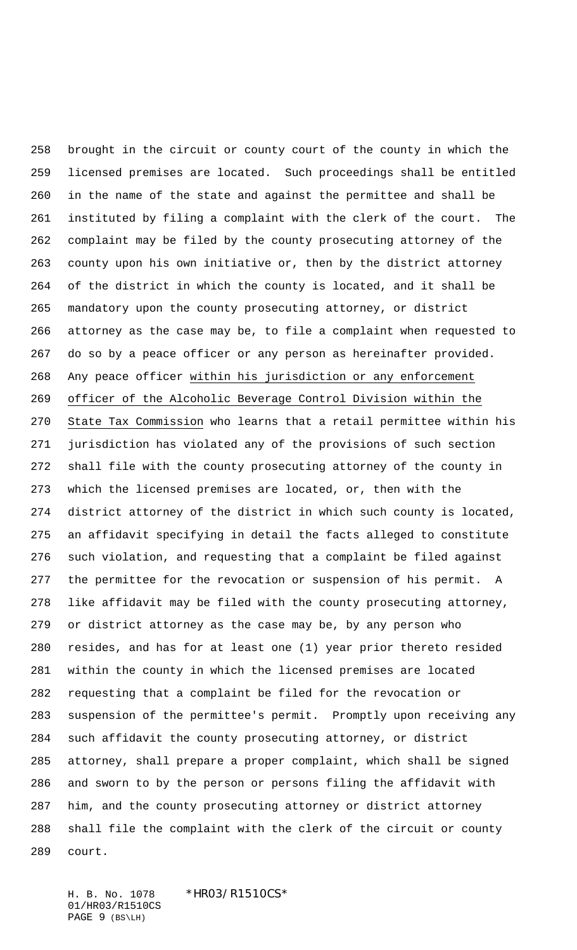brought in the circuit or county court of the county in which the licensed premises are located. Such proceedings shall be entitled in the name of the state and against the permittee and shall be instituted by filing a complaint with the clerk of the court. The complaint may be filed by the county prosecuting attorney of the county upon his own initiative or, then by the district attorney of the district in which the county is located, and it shall be mandatory upon the county prosecuting attorney, or district attorney as the case may be, to file a complaint when requested to do so by a peace officer or any person as hereinafter provided. Any peace officer within his jurisdiction or any enforcement officer of the Alcoholic Beverage Control Division within the State Tax Commission who learns that a retail permittee within his jurisdiction has violated any of the provisions of such section shall file with the county prosecuting attorney of the county in which the licensed premises are located, or, then with the district attorney of the district in which such county is located, an affidavit specifying in detail the facts alleged to constitute such violation, and requesting that a complaint be filed against the permittee for the revocation or suspension of his permit. A like affidavit may be filed with the county prosecuting attorney, or district attorney as the case may be, by any person who resides, and has for at least one (1) year prior thereto resided within the county in which the licensed premises are located requesting that a complaint be filed for the revocation or suspension of the permittee's permit. Promptly upon receiving any such affidavit the county prosecuting attorney, or district attorney, shall prepare a proper complaint, which shall be signed and sworn to by the person or persons filing the affidavit with him, and the county prosecuting attorney or district attorney shall file the complaint with the clerk of the circuit or county court.

H. B. No. 1078 \*HR03/R1510CS\* 01/HR03/R1510CS PAGE 9 (BS\LH)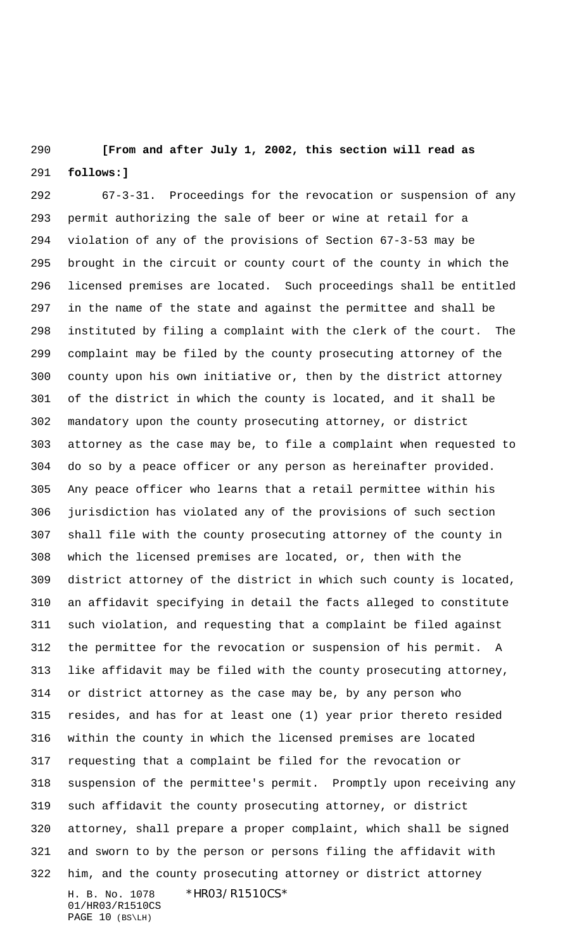## **[From and after July 1, 2002, this section will read as follows:]**

H. B. No. 1078 \*HR03/R1510CS\* 01/HR03/R1510CS 67-3-31. Proceedings for the revocation or suspension of any permit authorizing the sale of beer or wine at retail for a violation of any of the provisions of Section 67-3-53 may be brought in the circuit or county court of the county in which the licensed premises are located. Such proceedings shall be entitled in the name of the state and against the permittee and shall be instituted by filing a complaint with the clerk of the court. The complaint may be filed by the county prosecuting attorney of the county upon his own initiative or, then by the district attorney of the district in which the county is located, and it shall be mandatory upon the county prosecuting attorney, or district attorney as the case may be, to file a complaint when requested to do so by a peace officer or any person as hereinafter provided. Any peace officer who learns that a retail permittee within his jurisdiction has violated any of the provisions of such section shall file with the county prosecuting attorney of the county in which the licensed premises are located, or, then with the district attorney of the district in which such county is located, an affidavit specifying in detail the facts alleged to constitute such violation, and requesting that a complaint be filed against the permittee for the revocation or suspension of his permit. A like affidavit may be filed with the county prosecuting attorney, or district attorney as the case may be, by any person who resides, and has for at least one (1) year prior thereto resided within the county in which the licensed premises are located requesting that a complaint be filed for the revocation or suspension of the permittee's permit. Promptly upon receiving any such affidavit the county prosecuting attorney, or district attorney, shall prepare a proper complaint, which shall be signed and sworn to by the person or persons filing the affidavit with him, and the county prosecuting attorney or district attorney

PAGE 10 (BS\LH)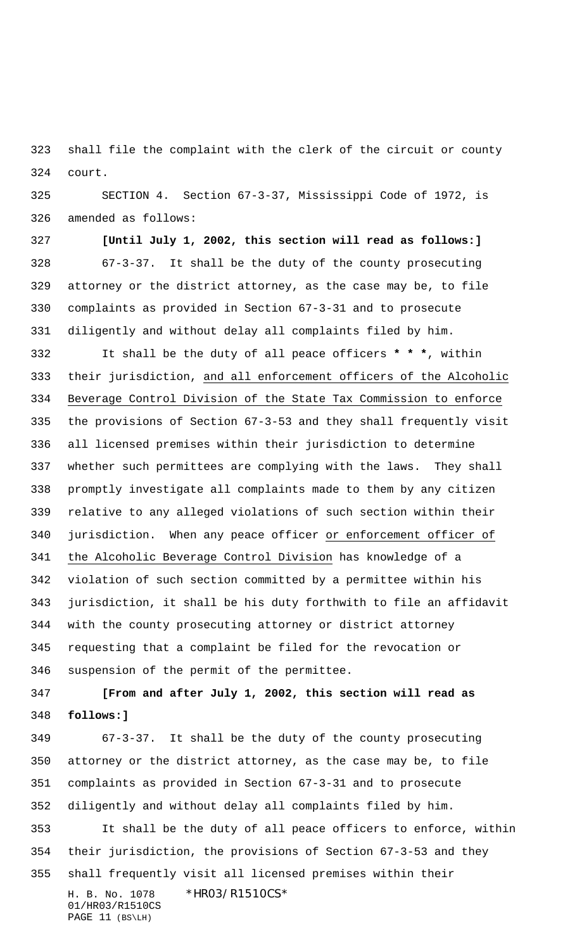shall file the complaint with the clerk of the circuit or county court.

 SECTION 4. Section 67-3-37, Mississippi Code of 1972, is amended as follows:

 **[Until July 1, 2002, this section will read as follows:]** 67-3-37. It shall be the duty of the county prosecuting attorney or the district attorney, as the case may be, to file complaints as provided in Section 67-3-31 and to prosecute diligently and without delay all complaints filed by him.

 It shall be the duty of all peace officers **\* \* \***, within their jurisdiction, and all enforcement officers of the Alcoholic Beverage Control Division of the State Tax Commission to enforce the provisions of Section 67-3-53 and they shall frequently visit all licensed premises within their jurisdiction to determine whether such permittees are complying with the laws. They shall promptly investigate all complaints made to them by any citizen relative to any alleged violations of such section within their jurisdiction. When any peace officer or enforcement officer of the Alcoholic Beverage Control Division has knowledge of a violation of such section committed by a permittee within his jurisdiction, it shall be his duty forthwith to file an affidavit with the county prosecuting attorney or district attorney requesting that a complaint be filed for the revocation or suspension of the permit of the permittee.

 **[From and after July 1, 2002, this section will read as follows:]**

H. B. No. 1078 \*HR03/R1510CS\* 01/HR03/R1510CS PAGE 11 (BS\LH) 67-3-37. It shall be the duty of the county prosecuting attorney or the district attorney, as the case may be, to file complaints as provided in Section 67-3-31 and to prosecute diligently and without delay all complaints filed by him. It shall be the duty of all peace officers to enforce, within their jurisdiction, the provisions of Section 67-3-53 and they shall frequently visit all licensed premises within their